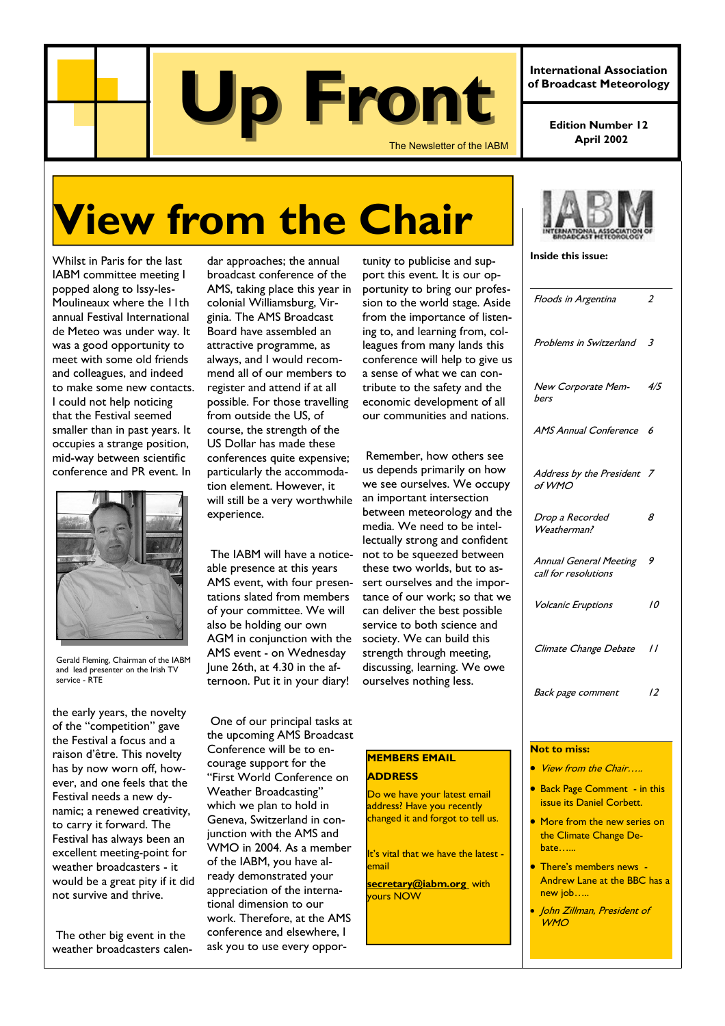**International Association of Broadcast Meteorology** 

The Newsletter of the IABM **April 2002** 

**Edition Number 12** 

# **View from the Chair**

**Up Front Up Front**

Whilst in Paris for the last IABM committee meeting I popped along to Issy-les-Moulineaux where the 11th annual Festival International de Meteo was under way. It was a good opportunity to meet with some old friends and colleagues, and indeed to make some new contacts. I could not help noticing that the Festival seemed smaller than in past years. It occupies a strange position, mid-way between scientific conference and PR event. In



Gerald Fleming, Chairman of the IABM and lead presenter on the Irish TV service - RTE

the early years, the novelty of the "competition" gave the Festival a focus and a raison d'être. This novelty has by now worn off, however, and one feels that the Festival needs a new dynamic; a renewed creativity, to carry it forward. The Festival has always been an excellent meeting-point for weather broadcasters - it would be a great pity if it did not survive and thrive.

 The other big event in the weather broadcasters calen-

dar approaches; the annual broadcast conference of the AMS, taking place this year in colonial Williamsburg, Virginia. The AMS Broadcast Board have assembled an attractive programme, as always, and I would recommend all of our members to register and attend if at all possible. For those travelling from outside the US, of course, the strength of the US Dollar has made these conferences quite expensive; particularly the accommodation element. However, it will still be a very worthwhile experience.

 The IABM will have a noticeable presence at this years AMS event, with four presentations slated from members of your committee. We will also be holding our own AGM in conjunction with the AMS event - on Wednesday June 26th, at 4.30 in the afternoon. Put it in your diary!

 One of our principal tasks at the upcoming AMS Broadcast Conference will be to encourage support for the "First World Conference on Weather Broadcasting" which we plan to hold in Geneva, Switzerland in conjunction with the AMS and WMO in 2004. As a member of the IABM, you have already demonstrated your appreciation of the international dimension to our work. Therefore, at the AMS conference and elsewhere, I ask you to use every opportunity to publicise and support this event. It is our opportunity to bring our profession to the world stage. Aside from the importance of listening to, and learning from, colleagues from many lands this conference will help to give us a sense of what we can contribute to the safety and the economic development of all our communities and nations.

 Remember, how others see us depends primarily on how we see ourselves. We occupy an important intersection between meteorology and the media. We need to be intellectually strong and confident not to be squeezed between these two worlds, but to assert ourselves and the importance of our work; so that we can deliver the best possible service to both science and society. We can build this strength through meeting, discussing, learning. We owe ourselves nothing less.

#### **MEMBERS EMAIL**

#### **ADDRESS**

Do we have your latest email address? Have you recently changed it and forgot to tell us.

It's vital that we have the latest email

**secretary@iabm.org** with yours NOW



#### **Inside this issue:**

| Floods in Argentina                                   | $\overline{2}$ |
|-------------------------------------------------------|----------------|
| Problems in Switzerland                               | 3              |
| New Corporate Mem-<br>bers                            | 4/5            |
| AMS Annual Conference 6                               |                |
| Address by the President 7<br>of WMO                  |                |
| Drop a Recorded<br>Weatherman?                        | 8              |
| <b>Annual General Meeting</b><br>call for resolutions | 9              |
| Volcanic Eruptions                                    | 10             |
| Climate Change Debate                                 | 11             |
| Back page comment                                     | 12             |
|                                                       |                |
| <b>Not to miss:</b>                                   |                |
| View from the Chair<br>$\bullet$                      |                |

- **Back Page Comment in this** issue its Daniel Corbett.
- More from the new series on the Climate Change Debate…...
- There's members news -Andrew Lane at the BBC has a new job…..
- John Zillman, President of **WMO**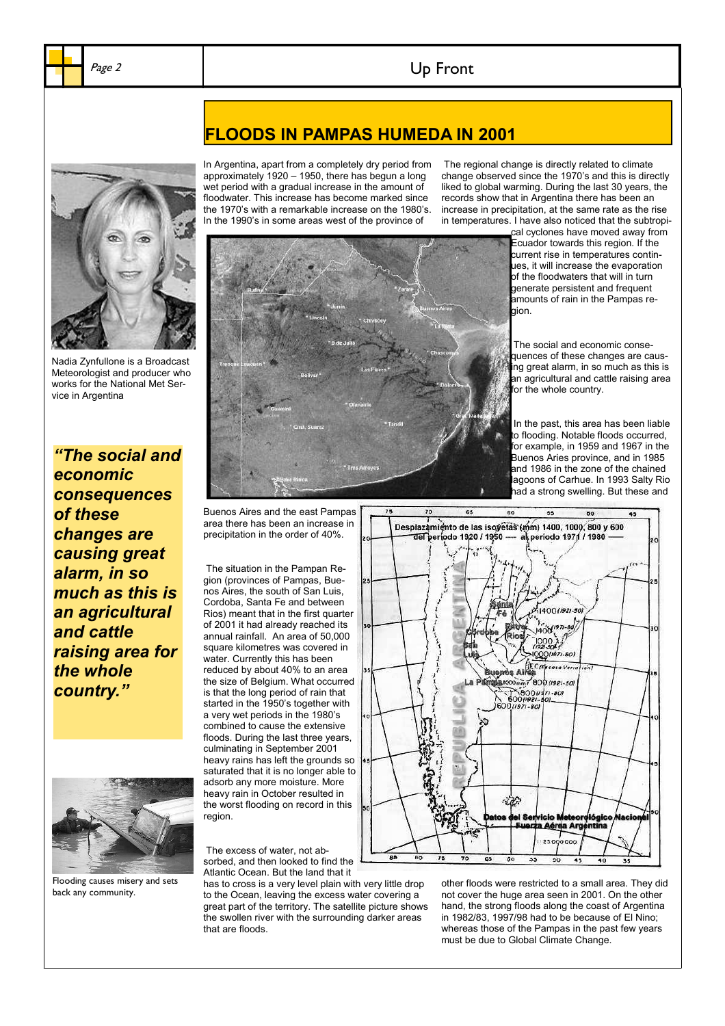#### Page 2 Up Front



Nadia Zynfullone is a Broadcast Meteorologist and producer who works for the National Met Service in Argentina

*"The social and economic consequences of these changes are causing great alarm, in so much as this is an agricultural and cattle raising area for the whole country."* 



Flooding causes misery and sets back any community.

In Argentina, apart from a completely dry period from approximately 1920 – 1950, there has begun a long wet period with a gradual increase in the amount of floodwater. This increase has become marked since the 1970's with a remarkable increase on the 1980's. In the 1990's in some areas west of the province of

 The regional change is directly related to climate change observed since the 1970's and this is directly liked to global warming. During the last 30 years, the records show that in Argentina there has been an increase in precipitation, at the same rate as the rise in temperatures. I have also noticed that the subtropi-



**FLOODS IN PAMPAS HUMEDA IN 2001** 

cal cyclones have moved away from Ecuador towards this region. If the current rise in temperatures continues, it will increase the evaporation of the floodwaters that will in turn generate persistent and frequent amounts of rain in the Pampas region.

 The social and economic consequences of these changes are causing great alarm, in so much as this is an agricultural and cattle raising area for the whole country.

 In the past, this area has been liable to flooding. Notable floods occurred, for example, in 1959 and 1967 in the Buenos Aries province, and in 1985 and 1986 in the zone of the chained lagoons of Carhue. In 1993 Salty Rio had a strong swelling. But these and



other floods were restricted to a small area. They did not cover the huge area seen in 2001. On the other hand, the strong floods along the coast of Argentina in 1982/83, 1997/98 had to be because of El Nino; whereas those of the Pampas in the past few years must be due to Global Climate Change.

Buenos Aires and the east Pampas area there has been an increase in precipitation in the order of 40%.

 The situation in the Pampan Region (provinces of Pampas, Buenos Aires, the south of San Luis, Cordoba, Santa Fe and between Rios) meant that in the first quarter of 2001 it had already reached its annual rainfall. An area of 50,000 square kilometres was covered in water. Currently this has been reduced by about 40% to an area the size of Belgium. What occurred is that the long period of rain that started in the 1950's together with a very wet periods in the 1980's combined to cause the extensive floods. During the last three years, culminating in September 2001 heavy rains has left the grounds so saturated that it is no longer able to adsorb any more moisture. More heavy rain in October resulted in the worst flooding on record in this region.

The excess of water, not absorbed, and then looked to find the Atlantic Ocean. But the land that it

has to cross is a very level plain with very little drop to the Ocean, leaving the excess water covering a great part of the territory. The satellite picture shows the swollen river with the surrounding darker areas that are floods.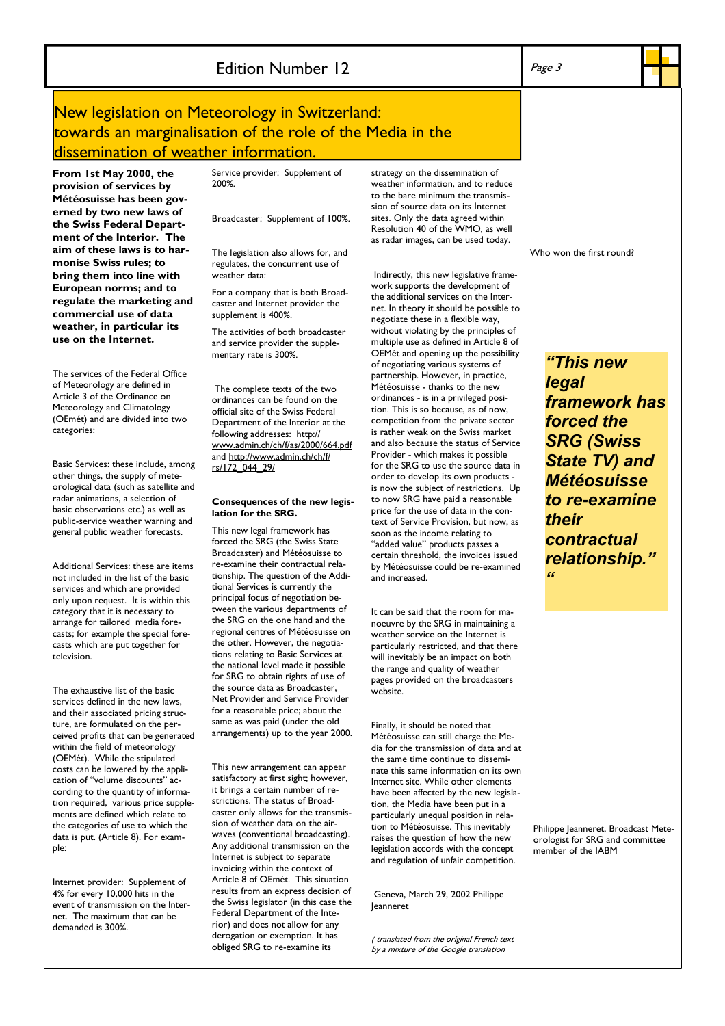#### New legislation on Meteorology in Switzerland: towards an marginalisation of the role of the Media in the dissemination of weather information.

**From 1st May 2000, the provision of services by Météosuisse has been governed by two new laws of the Swiss Federal Department of the Interior. The aim of these laws is to harmonise Swiss rules; to bring them into line with European norms; and to regulate the marketing and commercial use of data weather, in particular its use on the Internet.** 

The services of the Federal Office of Meteorology are defined in Article 3 of the Ordinance on Meteorology and Climatology (OEmét) and are divided into two categories:

Basic Services: these include, among other things, the supply of meteorological data (such as satellite and radar animations, a selection of basic observations etc.) as well as public-service weather warning and general public weather forecasts.

Additional Services: these are items not included in the list of the basic services and which are provided only upon request. It is within this category that it is necessary to arrange for tailored media forecasts; for example the special forecasts which are put together for television.

The exhaustive list of the basic services defined in the new laws, and their associated pricing structure, are formulated on the perceived profits that can be generated within the field of meteorology (OEMét). While the stipulated costs can be lowered by the application of "volume discounts" according to the quantity of information required, various price supplements are defined which relate to the categories of use to which the data is put. (Article 8). For example:

Internet provider: Supplement of 4% for every 10,000 hits in the event of transmission on the Internet. The maximum that can be demanded is 300%.

Service provider: Supplement of 200%.

Edition Number 12

Broadcaster: Supplement of 100%.

The legislation also allows for, and regulates, the concurrent use of weather data:

For a company that is both Broadcaster and Internet provider the supplement is 400%.

The activities of both broadcaster and service provider the supplementary rate is 300%.

 The complete texts of the two ordinances can be found on the official site of the Swiss Federal Department of the Interior at the following addresses: http:// www.admin.ch/ch/f/as/2000/664.pdf and http://www.admin.ch/ch/f/ rs/172\_044\_29/

#### **Consequences of the new legislation for the SRG.**

This new legal framework has forced the SRG (the Swiss State Broadcaster) and Météosuisse to re-examine their contractual relationship. The question of the Additional Services is currently the principal focus of negotiation between the various departments of the SRG on the one hand and the regional centres of Météosuisse on the other. However, the negotiations relating to Basic Services at the national level made it possible for SRG to obtain rights of use of the source data as Broadcaster, Net Provider and Service Provider for a reasonable price; about the same as was paid (under the old arrangements) up to the year 2000.

This new arrangement can appear satisfactory at first sight; however, it brings a certain number of restrictions. The status of Broadcaster only allows for the transmission of weather data on the airwaves (conventional broadcasting). Any additional transmission on the Internet is subject to separate invoicing within the context of Article 8 of OEmét. This situation results from an express decision of the Swiss legislator (in this case the Federal Department of the Interior) and does not allow for any derogation or exemption. It has obliged SRG to re-examine its

strategy on the dissemination of weather information, and to reduce to the bare minimum the transmission of source data on its Internet sites. Only the data agreed within Resolution 40 of the WMO, as well as radar images, can be used today.

 Indirectly, this new legislative framework supports the development of the additional services on the Internet. In theory it should be possible to negotiate these in a flexible way, without violating by the principles of multiple use as defined in Article 8 of OEMét and opening up the possibility of negotiating various systems of partnership. However, in practice, Météosuisse - thanks to the new ordinances - is in a privileged position. This is so because, as of now, competition from the private sector is rather weak on the Swiss market and also because the status of Service Provider - which makes it possible for the SRG to use the source data in order to develop its own products is now the subject of restrictions. Up to now SRG have paid a reasonable price for the use of data in the context of Service Provision, but now, as soon as the income relating to "added value" products passes a certain threshold, the invoices issued by Météosuisse could be re-examined and increased.

It can be said that the room for manoeuvre by the SRG in maintaining a weather service on the Internet is particularly restricted, and that there will inevitably be an impact on both the range and quality of weather pages provided on the broadcasters website.

Finally, it should be noted that Météosuisse can still charge the Media for the transmission of data and at the same time continue to disseminate this same information on its own Internet site. While other elements have been affected by the new legislation, the Media have been put in a particularly unequal position in relation to Météosuisse. This inevitably raises the question of how the new legislation accords with the concept and regulation of unfair competition.

 Geneva, March 29, 2002 Philippe Jeanneret

( translated from the original French text by a mixture of the Google translation

Who won the first round?

*"This new legal framework has forced the SRG (Swiss State TV) and Météosuisse to re-examine their contractual relationship." "* 

Philippe Jeanneret, Broadcast Meteorologist for SRG and committee member of the IABM

Page 3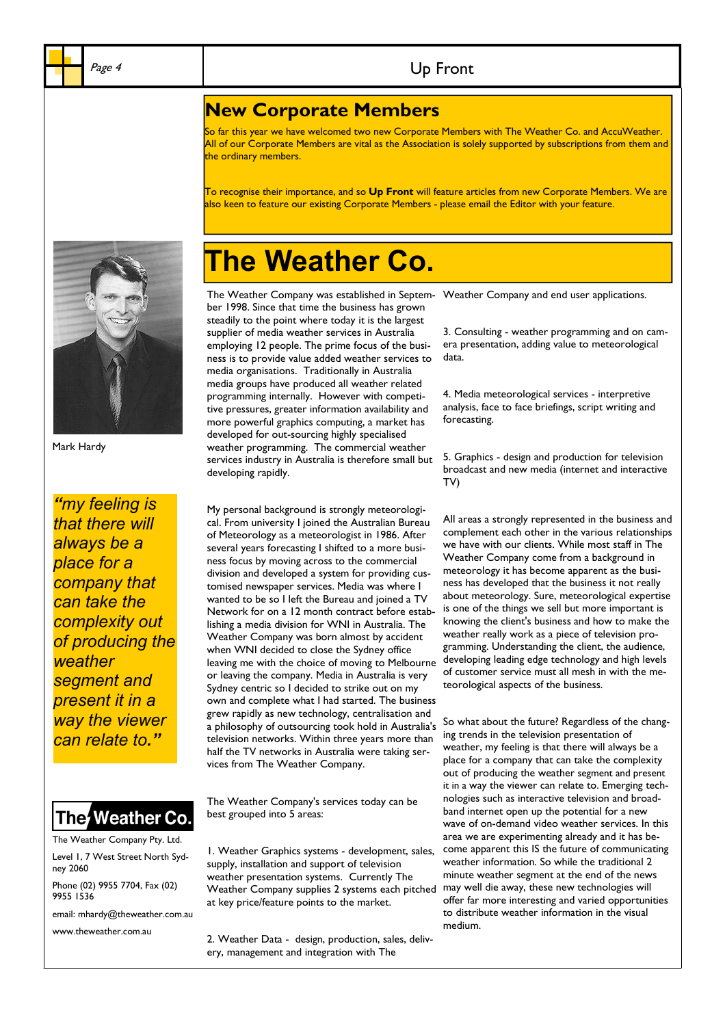#### Page 4 and 1 Up Front

#### **New Corporate Members**

So far this year we have welcomed two new Corporate Members with The Weather Co. and AccuWeather. All of our Corporate Members are vital as the Association is solely supported by subscriptions from them and the ordinary members.

To recognise their importance, and so **Up Front** will feature articles from new Corporate Members. We are also keen to feature our existing Corporate Members - please email the Editor with your feature.



Mark Hardy

*"my feeling is that there will always be a place for a company that can take the complexity out of producing the weather segment and present it in a way the viewer can relate to."* 

## **The Weather Co.**

The Weather Company was established in Septem-Weather Company and end user applications. ber 1998. Since that time the business has grown steadily to the point where today it is the largest supplier of media weather services in Australia employing 12 people. The prime focus of the business is to provide value added weather services to media organisations. Traditionally in Australia media groups have produced all weather related programming internally. However with competitive pressures, greater information availability and more powerful graphics computing, a market has developed for out-sourcing highly specialised weather programming. The commercial weather services industry in Australia is therefore small but developing rapidly.

My personal background is strongly meteorological. From university I joined the Australian Bureau of Meteorology as a meteorologist in 1986. After several years forecasting I shifted to a more business focus by moving across to the commercial division and developed a system for providing customised newspaper services. Media was where I wanted to be so I left the Bureau and joined a TV Network for on a 12 month contract before establishing a media division for WNI in Australia. The Weather Company was born almost by accident when WNI decided to close the Sydney office leaving me with the choice of moving to Melbourne or leaving the company. Media in Australia is very Sydney centric so I decided to strike out on my own and complete what I had started. The business grew rapidly as new technology, centralisation and a philosophy of outsourcing took hold in Australia's television networks. Within three years more than half the TV networks in Australia were taking services from The Weather Company.

The Weather Company's services today can be best grouped into 5 areas:

**The Weather Co.** 

The Weather Company Pty. Ltd. Level 1, 7 West Street North Sydney 2060

Phone (02) 9955 7704, Fax (02) 9955 1536

email: mhardy@theweather.com.au

www.theweather.com.au

1. Weather Graphics systems - development, sales, supply, installation and support of television weather presentation systems. Currently The Weather Company supplies 2 systems each pitched at key price/feature points to the market.

2. Weather Data - design, production, sales, delivery, management and integration with The

3. Consulting - weather programming and on camera presentation, adding value to meteorological data.

4. Media meteorological services - interpretive analysis, face to face briefings, script writing and forecasting.

5. Graphics - design and production for television broadcast and new media (internet and interactive TV)

All areas a strongly represented in the business and complement each other in the various relationships we have with our clients. While most staff in The Weather Company come from a background in meteorology it has become apparent as the business has developed that the business it not really about meteorology. Sure, meteorological expertise is one of the things we sell but more important is knowing the client's business and how to make the weather really work as a piece of television programming. Understanding the client, the audience, developing leading edge technology and high levels of customer service must all mesh in with the meteorological aspects of the business.

So what about the future? Regardless of the changing trends in the television presentation of weather, my feeling is that there will always be a place for a company that can take the complexity out of producing the weather segment and present it in a way the viewer can relate to. Emerging technologies such as interactive television and broadband internet open up the potential for a new wave of on-demand video weather services. In this area we are experimenting already and it has become apparent this IS the future of communicating weather information. So while the traditional 2 minute weather segment at the end of the news may well die away, these new technologies will offer far more interesting and varied opportunities to distribute weather information in the visual medium.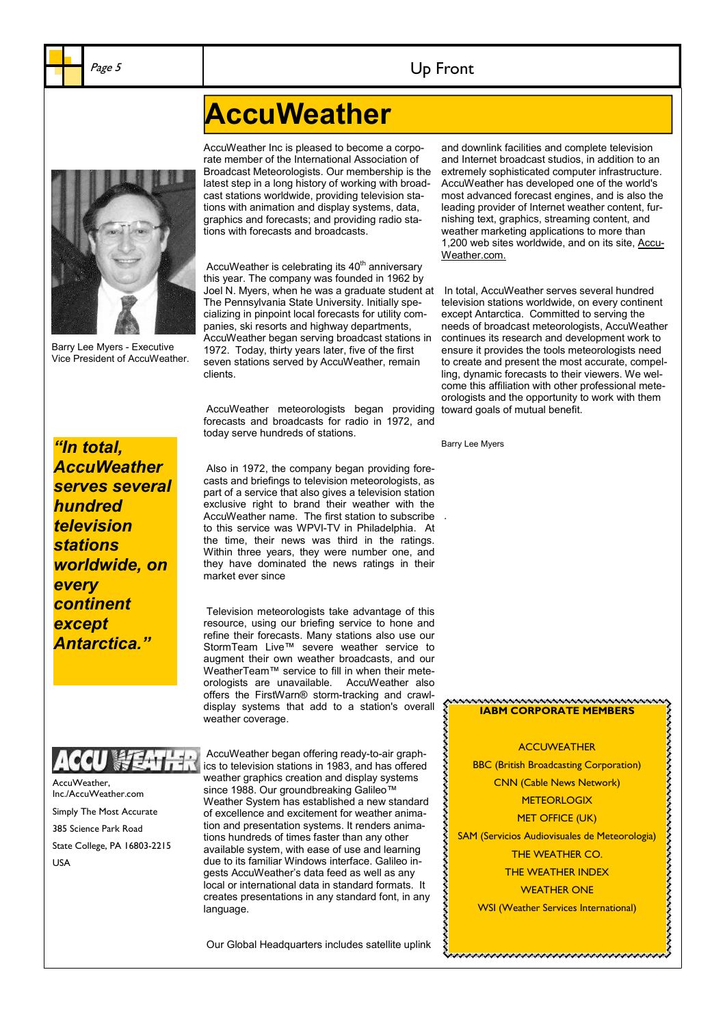#### Page 5 Up Front

## **AccuWeather**

Barry Lee Myers - Executive Vice President of AccuWeather.

*"In total,* 

*hundred television stations* 

*every* 

*continent except* 

*Antarctica."* 

*AccuWeather serves several* 

*worldwide, on* 

AccuWeather Inc is pleased to become a corporate member of the International Association of Broadcast Meteorologists. Our membership is the latest step in a long history of working with broadcast stations worldwide, providing television stations with animation and display systems, data, graphics and forecasts; and providing radio stations with forecasts and broadcasts.

AccuWeather is celebrating its  $40<sup>th</sup>$  anniversary this year. The company was founded in 1962 by Joel N. Myers, when he was a graduate student at The Pennsylvania State University. Initially specializing in pinpoint local forecasts for utility companies, ski resorts and highway departments, AccuWeather began serving broadcast stations in 1972. Today, thirty years later, five of the first seven stations served by AccuWeather, remain clients.

 AccuWeather meteorologists began providing forecasts and broadcasts for radio in 1972, and today serve hundreds of stations.

 Also in 1972, the company began providing forecasts and briefings to television meteorologists, as part of a service that also gives a television station exclusive right to brand their weather with the AccuWeather name. The first station to subscribe to this service was WPVI-TV in Philadelphia. At the time, their news was third in the ratings. Within three years, they were number one, and they have dominated the news ratings in their market ever since

 Television meteorologists take advantage of this resource, using our briefing service to hone and refine their forecasts. Many stations also use our StormTeam Live™ severe weather service to augment their own weather broadcasts, and our WeatherTeam™ service to fill in when their meteorologists are unavailable. AccuWeather also offers the FirstWarn® storm-tracking and crawldisplay systems that add to a station's overall weather coverage.

AccuWeather, Inc./AccuWeather.com Simply The Most Accurate 385 Science Park Road State College, PA 16803-2215 USA

 AccuWeather began offering ready-to-air graphics to television stations in 1983, and has offered weather graphics creation and display systems since 1988. Our groundbreaking Galileo™ Weather System has established a new standard of excellence and excitement for weather animation and presentation systems. It renders animations hundreds of times faster than any other available system, with ease of use and learning due to its familiar Windows interface. Galileo ingests AccuWeather's data feed as well as any local or international data in standard formats. It creates presentations in any standard font, in any language.

Our Global Headquarters includes satellite uplink

and downlink facilities and complete television and Internet broadcast studios, in addition to an extremely sophisticated computer infrastructure. AccuWeather has developed one of the world's most advanced forecast engines, and is also the leading provider of Internet weather content, furnishing text, graphics, streaming content, and weather marketing applications to more than 1,200 web sites worldwide, and on its site, Accu-Weather.com.

 In total, AccuWeather serves several hundred television stations worldwide, on every continent except Antarctica. Committed to serving the needs of broadcast meteorologists, AccuWeather continues its research and development work to ensure it provides the tools meteorologists need to create and present the most accurate, compelling, dynamic forecasts to their viewers. We welcome this affiliation with other professional meteorologists and the opportunity to work with them toward goals of mutual benefit.

Barry Lee Myers

.



#### ACCUWEATHER

**BBC (British Broadcasting Corporation)** 

CNN (Cable News Network)

METEORLOGIX

MET OFFICE (UK)

へんきんきんきんきんきんきんきんきんきんきんきんきんきんきんきんきょうきんきんきんきょう

SAM (Servicios Audiovisuales de Meteorologia)

THE WEATHER CO. THE WEATHER INDEX

WEATHER ONE

WSI (Weather Services International)

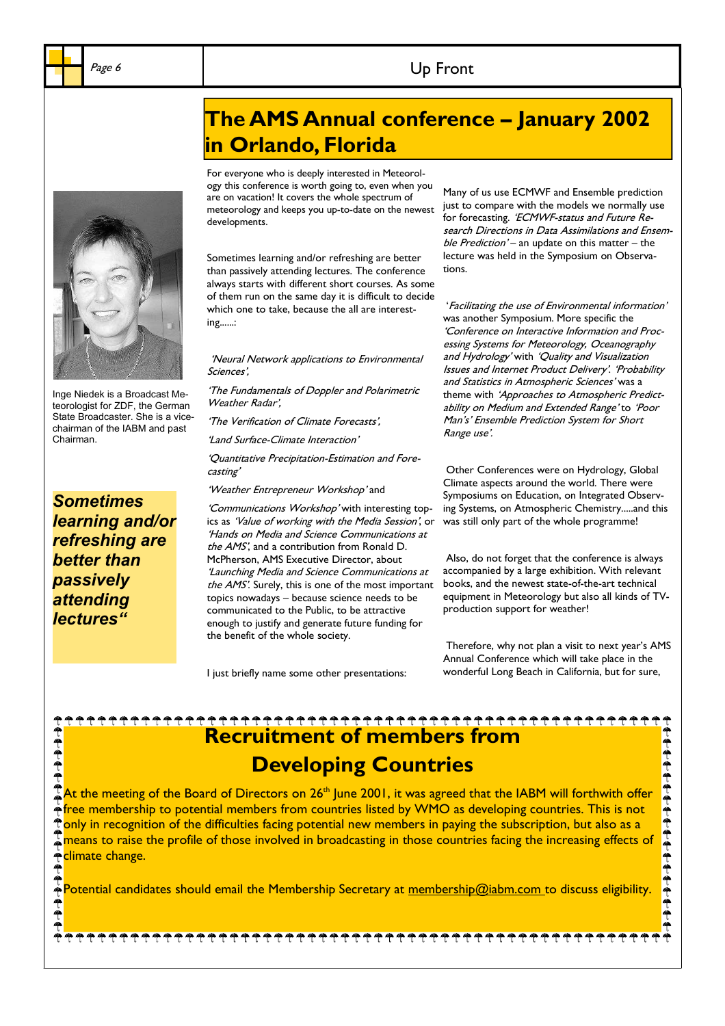#### Page 6 and 1 and 1 and 1 and 1 and 1 and 1 and 1 and 1 and 1 and 1 and 1 and 1 and 1 and 1 and 1 and 1 and 1 and 1 and 1 and 1 and 1 and 1 and 1 and 1 and 1 and 1 and 1 and 1 and 1 and 1 and 1 and 1 and 1 and 1 and 1 and 1

## **The AMS Annual conference – January 2002 in Orlando, Florida**

For everyone who is deeply interested in Meteorology this conference is worth going to, even when you are on vacation! It covers the whole spectrum of meteorology and keeps you up-to-date on the newest developments.

Sometimes learning and/or refreshing are better than passively attending lectures. The conference always starts with different short courses. As some of them run on the same day it is difficult to decide which one to take, because the all are interesting......:

'Neural Network applications to Environmental Sciences',

'The Fundamentals of Doppler and Polarimetric Weather Radar',

'The Verification of Climate Forecasts',

'Land Surface-Climate Interaction'

'Quantitative Precipitation-Estimation and Forecasting'

'Weather Entrepreneur Workshop'and

'Communications Workshop' with interesting topics as 'Value of working with the Media Session', or 'Hands on Media and Science Communications at the AMS', and a contribution from Ronald D. McPherson, AMS Executive Director, about 'Launching Media and Science Communications at the AMS'. Surely, this is one of the most important topics nowadays – because science needs to be communicated to the Public, to be attractive enough to justify and generate future funding for the benefit of the whole society.

I just briefly name some other presentations:

Many of us use ECMWF and Ensemble prediction just to compare with the models we normally use for forecasting. 'ECMWF-status and Future Research Directions in Data Assimilations and Ensemble Prediction' – an update on this matter – the lecture was held in the Symposium on Observations.

 'Facilitating the use of Environmental information' was another Symposium. More specific the 'Conference on Interactive Information and Processing Systems for Meteorology, Oceanography and Hydrology' with 'Quality and Visualization Issues and Internet Product Delivery'. 'Probability and Statistics in Atmospheric Sciences' was a theme with 'Approaches to Atmospheric Predictability on Medium and Extended Range' to 'Poor Man's' Ensemble Prediction System for Short Range use'.

 Other Conferences were on Hydrology, Global Climate aspects around the world. There were Symposiums on Education, on Integrated Observing Systems, on Atmospheric Chemistry.....and this was still only part of the whole programme!

 Also, do not forget that the conference is always accompanied by a large exhibition. With relevant books, and the newest state-of-the-art technical equipment in Meteorology but also all kinds of TVproduction support for weather!

 Therefore, why not plan a visit to next year's AMS Annual Conference which will take place in the wonderful Long Beach in California, but for sure,

## **Recruitment of members from Developing Countries**

At the meeting of the Board of Directors on 26<sup>th</sup> June 2001, it was agreed that the IABM will forthwith offer free membership to potential members from countries listed by WMO as developing countries. This is not only in recognition of the difficulties facing potential new members in paying the subscription, but also as a means to raise the profile of those involved in broadcasting in those countries facing the increasing effects of climate change.

Potential candidates should email the Membership Secretary at membership@iabm.com to discuss eligibility. نې<br>م



Inge Niedek is a Broadcast Meteorologist for ZDF, the German State Broadcaster. She is a vicechairman of the IABM and past Chairman.

*Sometimes learning and/or refreshing are better than passively attending lectures"*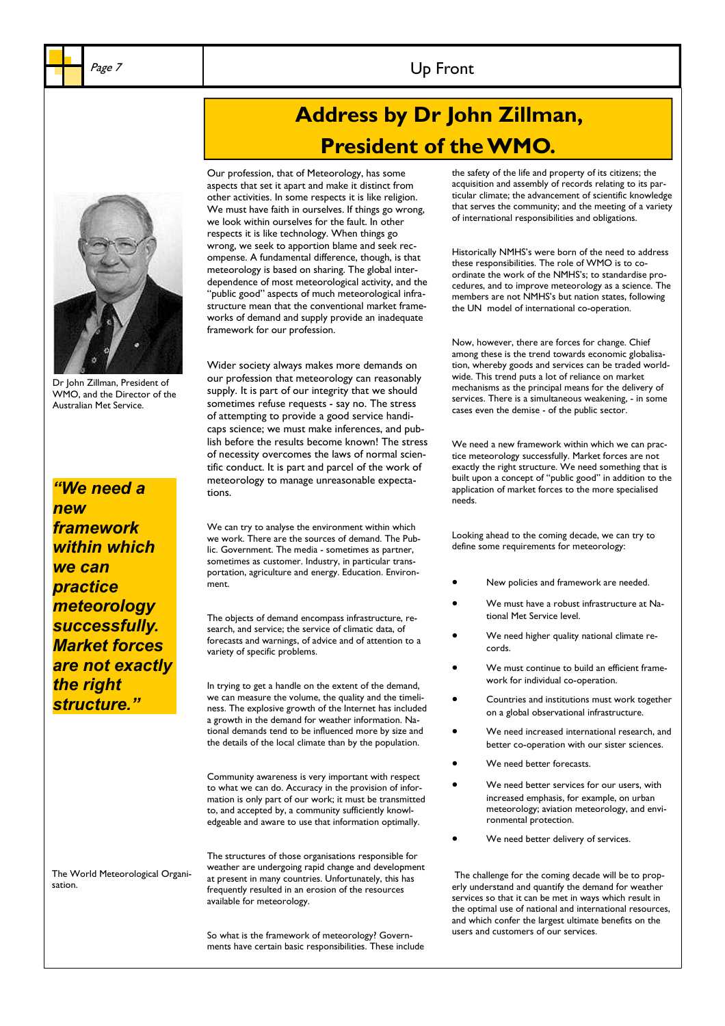#### Page 7 Up Front

Dr John Zillman, President of WMO, and the Director of the Australian Met Service.

*"We need a new framework within which we can practice meteorology successfully. Market forces are not exactly the right structure."* 

The World Meteorological Organisation.

## **Address by Dr John Zillman, President of the WMO.**

Our profession, that of Meteorology, has some aspects that set it apart and make it distinct from other activities. In some respects it is like religion. We must have faith in ourselves. If things go wrong, we look within ourselves for the fault. In other respects it is like technology. When things go wrong, we seek to apportion blame and seek recompense. A fundamental difference, though, is that meteorology is based on sharing. The global interdependence of most meteorological activity, and the "public good" aspects of much meteorological infrastructure mean that the conventional market frameworks of demand and supply provide an inadequate framework for our profession.

Wider society always makes more demands on our profession that meteorology can reasonably supply. It is part of our integrity that we should sometimes refuse requests - say no. The stress of attempting to provide a good service handicaps science; we must make inferences, and publish before the results become known! The stress of necessity overcomes the laws of normal scientific conduct. It is part and parcel of the work of meteorology to manage unreasonable expectations.

We can try to analyse the environment within which we work. There are the sources of demand. The Public. Government. The media - sometimes as partner, sometimes as customer. Industry, in particular transportation, agriculture and energy. Education. Environment.

The objects of demand encompass infrastructure, research, and service; the service of climatic data, of forecasts and warnings, of advice and of attention to a variety of specific problems.

In trying to get a handle on the extent of the demand, we can measure the volume, the quality and the timeliness. The explosive growth of the Internet has included a growth in the demand for weather information. National demands tend to be influenced more by size and the details of the local climate than by the population.

Community awareness is very important with respect to what we can do. Accuracy in the provision of information is only part of our work; it must be transmitted to, and accepted by, a community sufficiently knowledgeable and aware to use that information optimally.

The structures of those organisations responsible for weather are undergoing rapid change and development at present in many countries. Unfortunately, this has frequently resulted in an erosion of the resources available for meteorology.

So what is the framework of meteorology? Governments have certain basic responsibilities. These include

the safety of the life and property of its citizens; the acquisition and assembly of records relating to its particular climate; the advancement of scientific knowledge that serves the community; and the meeting of a variety of international responsibilities and obligations.

Historically NMHS's were born of the need to address these responsibilities. The role of WMO is to coordinate the work of the NMHS's; to standardise procedures, and to improve meteorology as a science. The members are not NMHS's but nation states, following the UN model of international co-operation.

Now, however, there are forces for change. Chief among these is the trend towards economic globalisation, whereby goods and services can be traded worldwide. This trend puts a lot of reliance on market mechanisms as the principal means for the delivery of services. There is a simultaneous weakening, - in some cases even the demise - of the public sector.

We need a new framework within which we can practice meteorology successfully. Market forces are not exactly the right structure. We need something that is built upon a concept of "public good" in addition to the application of market forces to the more specialised needs.

Looking ahead to the coming decade, we can try to define some requirements for meteorology:

- New policies and framework are needed.
- We must have a robust infrastructure at National Met Service level.
- We need higher quality national climate records.
- We must continue to build an efficient framework for individual co-operation.
	- Countries and institutions must work together on a global observational infrastructure.
- We need increased international research, and better co-operation with our sister sciences.
- We need better forecasts.
- We need better services for our users, with increased emphasis, for example, on urban meteorology; aviation meteorology, and environmental protection.
- We need better delivery of services.

 The challenge for the coming decade will be to properly understand and quantify the demand for weather services so that it can be met in ways which result in the optimal use of national and international resources, and which confer the largest ultimate benefits on the users and customers of our services.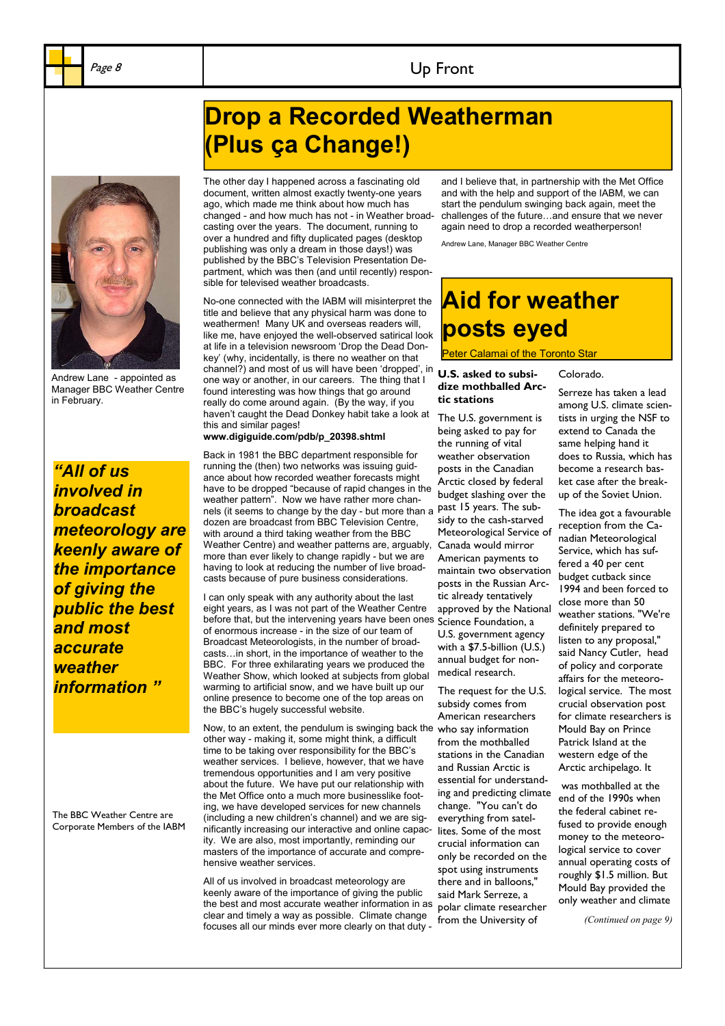#### $Page 8$  Up Front



Andrew Lane - appointed as Manager BBC Weather Centre in February.

*"All of us involved in broadcast meteorology are keenly aware of the importance of giving the public the best and most accurate weather information "* 

The BBC Weather Centre are Corporate Members of the IABM

## **Drop a Recorded Weatherman (Plus ça Change!)**

The other day I happened across a fascinating old document, written almost exactly twenty-one years ago, which made me think about how much has changed - and how much has not - in Weather broadcasting over the years. The document, running to over a hundred and fifty duplicated pages (desktop publishing was only a dream in those days!) was published by the BBC's Television Presentation Department, which was then (and until recently) responsible for televised weather broadcasts.

No-one connected with the IABM will misinterpret the title and believe that any physical harm was done to weathermen! Many UK and overseas readers will, like me, have enjoyed the well-observed satirical look at life in a television newsroom 'Drop the Dead Donkey' (why, incidentally, is there no weather on that channel?) and most of us will have been 'dropped', in **U.S. asked to subsi**one way or another, in our careers. The thing that I found interesting was how things that go around really do come around again. (By the way, if you haven't caught the Dead Donkey habit take a look at this and similar pages!

#### **www.digiguide.com/pdb/p\_20398.shtml**

Back in 1981 the BBC department responsible for running the (then) two networks was issuing guidance about how recorded weather forecasts might have to be dropped "because of rapid changes in the weather pattern". Now we have rather more chanmediscripture. The wive have failed more enamed a past 15 years. The subdozen are broadcast from BBC Television Centre, with around a third taking weather from the BBC Weather Centre) and weather patterns are, arguably, Canada would mirror more than ever likely to change rapidly - but we are having to look at reducing the number of live broadcasts because of pure business considerations.

I can only speak with any authority about the last eight years, as I was not part of the Weather Centre before that, but the intervening years have been ones Science Foundation, a of enormous increase - in the size of our team of Broadcast Meteorologists, in the number of broadcasts…in short, in the importance of weather to the BBC. For three exhilarating years we produced the Weather Show, which looked at subjects from global warming to artificial snow, and we have built up our online presence to become one of the top areas on the BBC's hugely successful website.

Now, to an extent, the pendulum is swinging back the who say information other way - making it, some might think, a difficult time to be taking over responsibility for the BBC's weather services. I believe, however, that we have tremendous opportunities and I am very positive about the future. We have put our relationship with the Met Office onto a much more businesslike footing, we have developed services for new channels (including a new children's channel) and we are significantly increasing our interactive and online capacity. We are also, most importantly, reminding our masters of the importance of accurate and comprehensive weather services.

All of us involved in broadcast meteorology are keenly aware of the importance of giving the public the best and most accurate weather information in as clear and timely a way as possible. Climate change focuses all our minds ever more clearly on that duty -

and I believe that, in partnership with the Met Office and with the help and support of the IABM, we can start the pendulum swinging back again, meet the challenges of the future…and ensure that we never again need to drop a recorded weatherperson!

Andrew Lane, Manager BBC Weather Centre

## **Aid for weather posts eyed**

#### eter Calamai of the Toronto Star

#### **dize mothballed Arctic stations**

The U.S. government is being asked to pay for the running of vital weather observation posts in the Canadian Arctic closed by federal budget slashing over the sidy to the cash-starved Meteorological Service of American payments to maintain two observation posts in the Russian Arctic already tentatively approved by the National U.S. government agency with a \$7.5-billion (U.S.) annual budget for nonmedical research.

The request for the U.S. subsidy comes from American researchers from the mothballed stations in the Canadian and Russian Arctic is essential for understanding and predicting climate change. "You can't do everything from satellites. Some of the most crucial information can only be recorded on the spot using instruments there and in balloons," said Mark Serreze, a polar climate researcher from the University of

Colorado.

Serreze has taken a lead among U.S. climate scientists in urging the NSF to extend to Canada the same helping hand it does to Russia, which has become a research basket case after the breakup of the Soviet Union.

The idea got a favourable reception from the Canadian Meteorological Service, which has suffered a 40 per cent budget cutback since 1994 and been forced to close more than 50 weather stations. "We're definitely prepared to listen to any proposal," said Nancy Cutler, head of policy and corporate affairs for the meteorological service. The most crucial observation post for climate researchers is Mould Bay on Prince Patrick Island at the western edge of the Arctic archipelago. It

 was mothballed at the end of the 1990s when the federal cabinet refused to provide enough money to the meteorological service to cover annual operating costs of roughly \$1.5 million. But Mould Bay provided the only weather and climate

*(Continued on page 9)*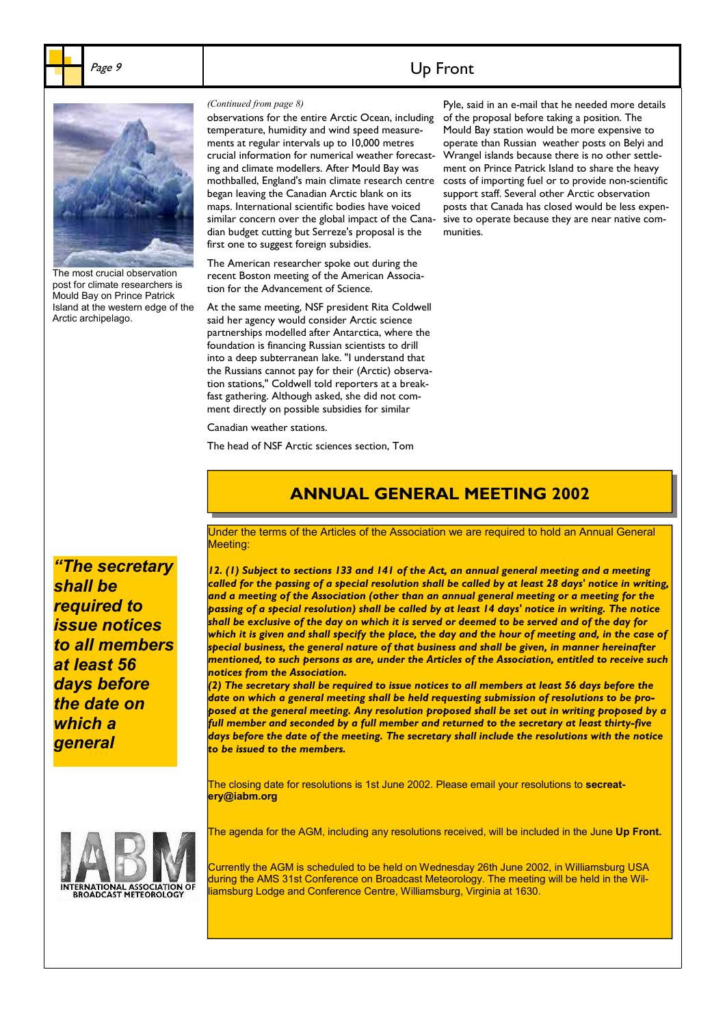Page 9 and 1 Up Front

The most crucial observation post for climate researchers is Mould Bay on Prince Patrick Island at the western edge of the Arctic archipelago.

#### *"The secretary shall be required to issue notices to all members at least 56 days before the date on which a general*

#### *(Continued from page 8)*

observations for the entire Arctic Ocean, including temperature, humidity and wind speed measurements at regular intervals up to 10,000 metres crucial information for numerical weather forecasting and climate modellers. After Mould Bay was mothballed, England's main climate research centre began leaving the Canadian Arctic blank on its maps. International scientific bodies have voiced similar concern over the global impact of the Canadian budget cutting but Serreze's proposal is the first one to suggest foreign subsidies.

The American researcher spoke out during the recent Boston meeting of the American Association for the Advancement of Science.

At the same meeting, NSF president Rita Coldwell said her agency would consider Arctic science partnerships modelled after Antarctica, where the foundation is financing Russian scientists to drill into a deep subterranean lake. "I understand that the Russians cannot pay for their (Arctic) observation stations," Coldwell told reporters at a breakfast gathering. Although asked, she did not comment directly on possible subsidies for similar

Canadian weather stations.

The head of NSF Arctic sciences section, Tom

#### Pyle, said in an e-mail that he needed more details of the proposal before taking a position. The Mould Bay station would be more expensive to operate than Russian weather posts on Belyi and Wrangel islands because there is no other settlement on Prince Patrick Island to share the heavy costs of importing fuel or to provide non-scientific support staff. Several other Arctic observation posts that Canada has closed would be less expensive to operate because they are near native communities.

#### **ANNUAL GENERAL MEETING 2002**

Under the terms of the Articles of the Association we are required to hold an Annual General Meeting:

*12. (1) Subject to sections 133 and 141 of the Act, an annual general meeting and a meeting called for the passing of a special resolution shall be called by at least 28 days' notice in writing, and a meeting of the Association (other than an annual general meeting or a meeting for the passing of a special resolution) shall be called by at least 14 days' notice in writing. The notice shall be exclusive of the day on which it is served or deemed to be served and of the day for which it is given and shall specify the place, the day and the hour of meeting and, in the case of special business, the general nature of that business and shall be given, in manner hereinafter mentioned, to such persons as are, under the Articles of the Association, entitled to receive such notices from the Association.* 

*(2) The secretary shall be required to issue notices to all members at least 56 days before the date on which a general meeting shall be held requesting submission of resolutions to be proposed at the general meeting. Any resolution proposed shall be set out in writing proposed by a full member and seconded by a full member and returned to the secretary at least thirty-five days before the date of the meeting. The secretary shall include the resolutions with the notice to be issued to the members.*

The closing date for resolutions is 1st June 2002. Please email your resolutions to **secreatery@iabm.org** 

The agenda for the AGM, including any resolutions received, will be included in the June **Up Front.** 



Currently the AGM is scheduled to be held on Wednesday 26th June 2002, in Williamsburg USA during the AMS 31st Conference on Broadcast Meteorology. The meeting will be held in the Williamsburg Lodge and Conference Centre, Williamsburg, Virginia at 1630.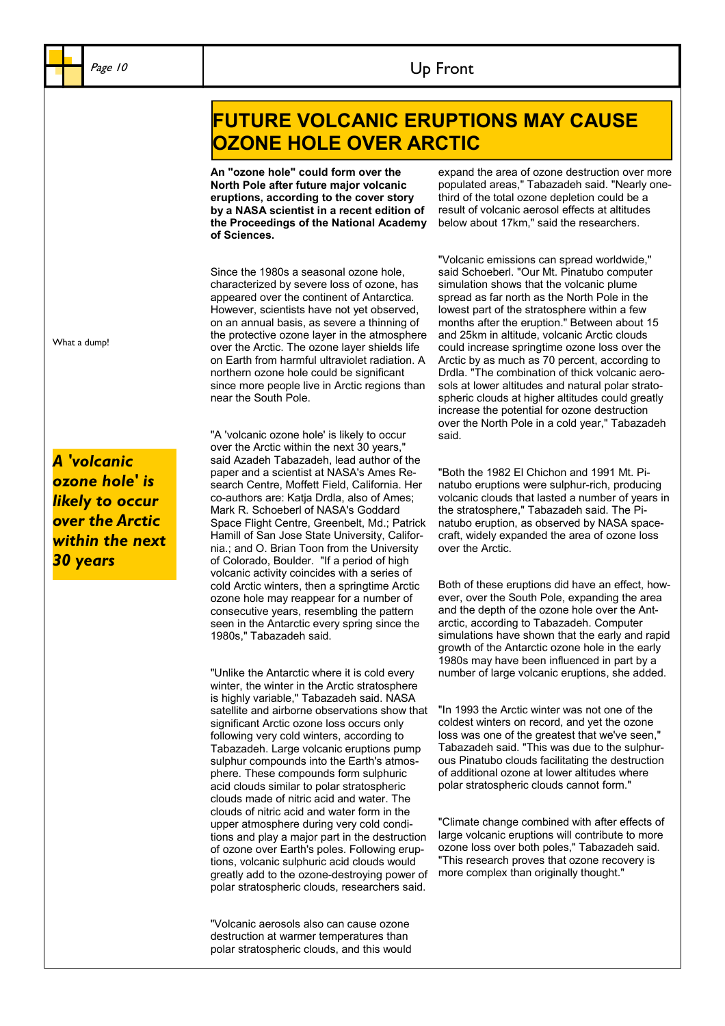#### **FUTURE VOLCANIC ERUPTIONS MAY CAUSE OZONE HOLE OVER ARCTIC**

**An "ozone hole" could form over the North Pole after future major volcanic eruptions, according to the cover story by a NASA scientist in a recent edition of the Proceedings of the National Academy of Sciences.** 

Since the 1980s a seasonal ozone hole, characterized by severe loss of ozone, has appeared over the continent of Antarctica. However, scientists have not yet observed, on an annual basis, as severe a thinning of the protective ozone layer in the atmosphere over the Arctic. The ozone layer shields life on Earth from harmful ultraviolet radiation. A northern ozone hole could be significant since more people live in Arctic regions than near the South Pole.

"A 'volcanic ozone hole' is likely to occur over the Arctic within the next 30 years," said Azadeh Tabazadeh, lead author of the paper and a scientist at NASA's Ames Research Centre, Moffett Field, California. Her co-authors are: Katja Drdla, also of Ames; Mark R. Schoeberl of NASA's Goddard Space Flight Centre, Greenbelt, Md.; Patrick Hamill of San Jose State University, California.; and O. Brian Toon from the University of Colorado, Boulder. "If a period of high volcanic activity coincides with a series of cold Arctic winters, then a springtime Arctic ozone hole may reappear for a number of consecutive years, resembling the pattern seen in the Antarctic every spring since the 1980s," Tabazadeh said.

"Unlike the Antarctic where it is cold every winter, the winter in the Arctic stratosphere is highly variable," Tabazadeh said. NASA satellite and airborne observations show that significant Arctic ozone loss occurs only following very cold winters, according to Tabazadeh. Large volcanic eruptions pump sulphur compounds into the Earth's atmosphere. These compounds form sulphuric acid clouds similar to polar stratospheric clouds made of nitric acid and water. The clouds of nitric acid and water form in the upper atmosphere during very cold conditions and play a major part in the destruction of ozone over Earth's poles. Following eruptions, volcanic sulphuric acid clouds would greatly add to the ozone-destroying power of polar stratospheric clouds, researchers said.

"Volcanic aerosols also can cause ozone destruction at warmer temperatures than polar stratospheric clouds, and this would expand the area of ozone destruction over more populated areas," Tabazadeh said. "Nearly onethird of the total ozone depletion could be a result of volcanic aerosol effects at altitudes below about 17km," said the researchers.

"Volcanic emissions can spread worldwide," said Schoeberl. "Our Mt. Pinatubo computer simulation shows that the volcanic plume spread as far north as the North Pole in the lowest part of the stratosphere within a few months after the eruption." Between about 15 and 25km in altitude, volcanic Arctic clouds could increase springtime ozone loss over the Arctic by as much as 70 percent, according to Drdla. "The combination of thick volcanic aerosols at lower altitudes and natural polar stratospheric clouds at higher altitudes could greatly increase the potential for ozone destruction over the North Pole in a cold year," Tabazadeh said.

"Both the 1982 El Chichon and 1991 Mt. Pinatubo eruptions were sulphur-rich, producing volcanic clouds that lasted a number of years in the stratosphere," Tabazadeh said. The Pinatubo eruption, as observed by NASA spacecraft, widely expanded the area of ozone loss over the Arctic.

Both of these eruptions did have an effect, however, over the South Pole, expanding the area and the depth of the ozone hole over the Antarctic, according to Tabazadeh. Computer simulations have shown that the early and rapid growth of the Antarctic ozone hole in the early 1980s may have been influenced in part by a number of large volcanic eruptions, she added.

"In 1993 the Arctic winter was not one of the coldest winters on record, and yet the ozone loss was one of the greatest that we've seen," Tabazadeh said. "This was due to the sulphurous Pinatubo clouds facilitating the destruction of additional ozone at lower altitudes where polar stratospheric clouds cannot form."

"Climate change combined with after effects of large volcanic eruptions will contribute to more ozone loss over both poles," Tabazadeh said. "This research proves that ozone recovery is more complex than originally thought."

What a dump!

#### *A 'volcanic ozone hole' is likely to occur over the Arctic within the next 30 years*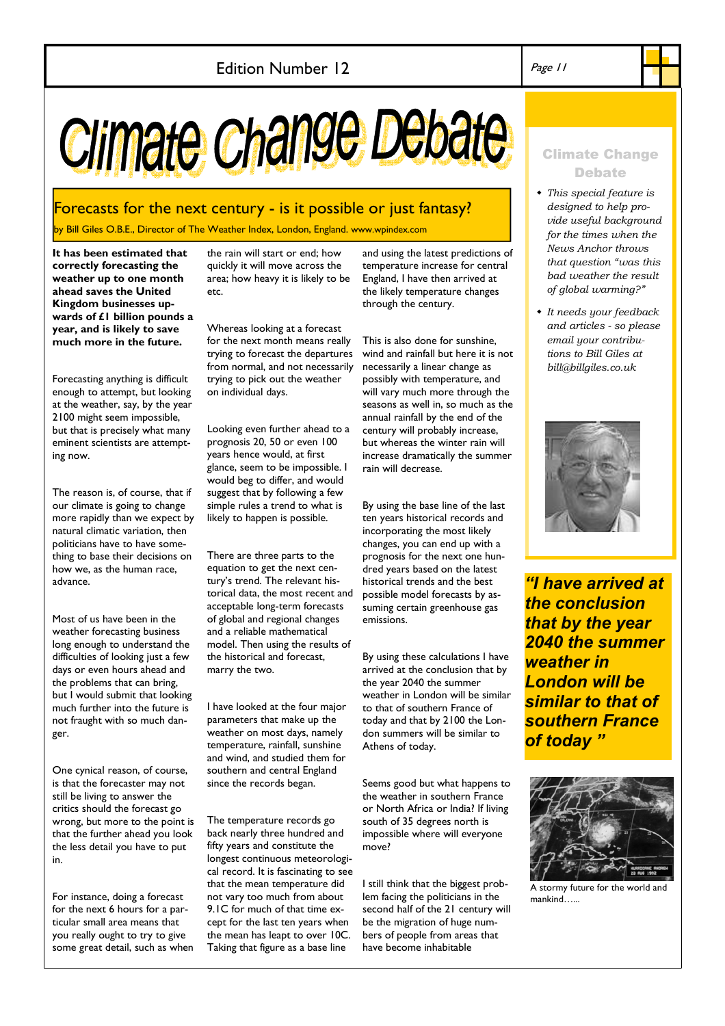# Climate Change Debate

#### Forecasts for the next century - is it possible or just fantasy? by Bill Giles O.B.E., Director of The Weather Index, London, England. www.wpindex.com

**It has been estimated that correctly forecasting the weather up to one month ahead saves the United Kingdom businesses upwards of £1 billion pounds a year, and is likely to save much more in the future.** 

Forecasting anything is difficult enough to attempt, but looking at the weather, say, by the year 2100 might seem impossible, but that is precisely what many eminent scientists are attempting now.

The reason is, of course, that if our climate is going to change more rapidly than we expect by natural climatic variation, then politicians have to have something to base their decisions on how we, as the human race, advance.

Most of us have been in the weather forecasting business long enough to understand the difficulties of looking just a few days or even hours ahead and the problems that can bring, but I would submit that looking much further into the future is not fraught with so much danger.

One cynical reason, of course, is that the forecaster may not still be living to answer the critics should the forecast go wrong, but more to the point is that the further ahead you look the less detail you have to put in.

For instance, doing a forecast for the next 6 hours for a particular small area means that you really ought to try to give some great detail, such as when

the rain will start or end; how quickly it will move across the area; how heavy it is likely to be etc.

Whereas looking at a forecast for the next month means really trying to forecast the departures from normal, and not necessarily trying to pick out the weather on individual days.

Looking even further ahead to a prognosis 20, 50 or even 100 years hence would, at first glance, seem to be impossible. I would beg to differ, and would suggest that by following a few simple rules a trend to what is likely to happen is possible.

There are three parts to the equation to get the next century's trend. The relevant historical data, the most recent and acceptable long-term forecasts of global and regional changes and a reliable mathematical model. Then using the results of the historical and forecast, marry the two.

I have looked at the four major parameters that make up the weather on most days, namely temperature, rainfall, sunshine and wind, and studied them for southern and central England since the records began.

The temperature records go back nearly three hundred and fifty years and constitute the longest continuous meteorological record. It is fascinating to see that the mean temperature did not vary too much from about 9.1C for much of that time except for the last ten years when the mean has leapt to over 10C. Taking that figure as a base line

and using the latest predictions of temperature increase for central England, I have then arrived at the likely temperature changes through the century.

This is also done for sunshine, wind and rainfall but here it is not necessarily a linear change as possibly with temperature, and will vary much more through the seasons as well in, so much as the annual rainfall by the end of the century will probably increase, but whereas the winter rain will increase dramatically the summer rain will decrease.

By using the base line of the last ten years historical records and incorporating the most likely changes, you can end up with a prognosis for the next one hundred years based on the latest historical trends and the best possible model forecasts by assuming certain greenhouse gas emissions.

By using these calculations I have arrived at the conclusion that by the year 2040 the summer weather in London will be similar to that of southern France of today and that by 2100 the London summers will be similar to Athens of today.

Seems good but what happens to the weather in southern France or North Africa or India? If living south of 35 degrees north is impossible where will everyone move?

I still think that the biggest problem facing the politicians in the second half of the 21 century will be the migration of huge numbers of people from areas that have become inhabitable

#### Climate Change Debate

- *This special feature is designed to help provide useful background for the times when the News Anchor throws that question "was this bad weather the result of global warming?"*
- *It needs your feedback and articles - so please email your contributions to Bill Giles at bill@billgiles.co.uk*



*"I have arrived at the conclusion that by the year 2040 the summer weather in London will be similar to that of southern France of today "* 



A stormy future for the world and mankind…...